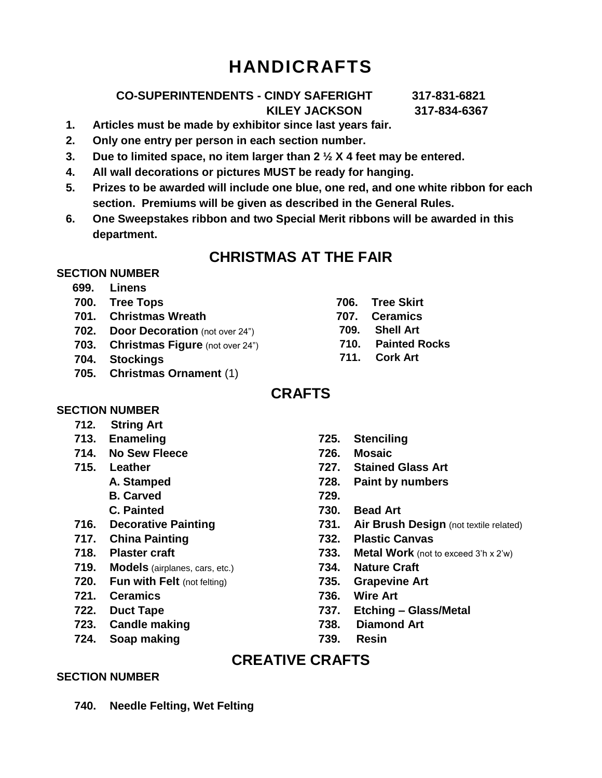# **HANDICRAFTS**

### **CO-SUPERINTENDENTS - CINDY SAFERIGHT 317-831-6821 KILEY JACKSON 317-834-6367**

- **1. Articles must be made by exhibitor since last years fair. 2. Only one entry per person in each section number.**
- **3. Due to limited space, no item larger than 2 ½ X 4 feet may be entered.**
- **4. All wall decorations or pictures MUST be ready for hanging.**
- **5. Prizes to be awarded will include one blue, one red, and one white ribbon for each section. Premiums will be given as described in the General Rules.**
- **6. One Sweepstakes ribbon and two Special Merit ribbons will be awarded in this department.**

### **CHRISTMAS AT THE FAIR**

### **SECTION NUMBER**

- **699. Linens**
- **700. Tree Tops**
- **701. Christmas Wreath**
- **702. Door Decoration** (not over 24")
- **703. Christmas Figure** (not over 24")
- **704. Stockings**
- **705. Christmas Ornament** (1)
- **706. Tree Skirt**
- **707. Ceramics**
- **709. Shell Art**
- **710. Painted Rocks**
- **711. Cork Art**

# **CRAFTS**

#### **SECTION NUMBER**

- **712. String Art**
- **713. Enameling**
- **714. No Sew Fleece**
- **715. Leather**
	- **A. Stamped**
		- **B. Carved**
		- **C. Painted**
- **716. Decorative Painting**
- **717. China Painting**
- **718. Plaster craft**
- **719. Models** (airplanes, cars, etc.)
- **720. Fun with Felt** (not felting)
- **721. Ceramics**
- **722. Duct Tape**
- **723. Candle making**
- **724. Soap making**
- **725. Stenciling**
- **726. Mosaic**
- **727. Stained Glass Art**
- **728. Paint by numbers**
- **729.**
- **730. Bead Art**
- **731. Air Brush Design** (not textile related)
- **732. Plastic Canvas**
- **733. Metal Work** (not to exceed 3'h x 2'w)
- **734. Nature Craft**
- **735. Grapevine Art**
- **736. Wire Art**
- **737. Etching – Glass/Metal**
- **738. Diamond Art**
- **739. Resin**

# **CREATIVE CRAFTS**

#### **SECTION NUMBER**

**740. Needle Felting, Wet Felting**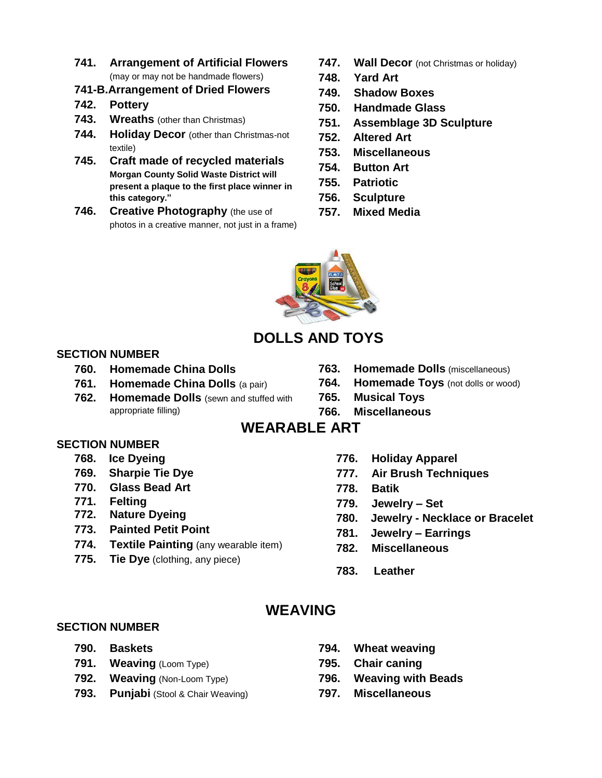- **741. Arrangement of Artificial Flowers** (may or may not be handmade flowers)
- **741-B.Arrangement of Dried Flowers**
- **742. Pottery**
- **743. Wreaths** (other than Christmas)
- **744. Holiday Decor** (other than Christmas-not textile)
- **745. Craft made of recycled materials Morgan County Solid Waste District will present a plaque to the first place winner in this category."**
- **746. Creative Photography** (the use of photos in a creative manner, not just in a frame)
- **747. Wall Decor** (not Christmas or holiday)
- **748. Yard Art**
- **749. Shadow Boxes**
- **750. Handmade Glass**
- **751. Assemblage 3D Sculpture**
- **752. Altered Art**
- **753. Miscellaneous**
- **754. Button Art**
- **755. Patriotic**
- **756. Sculpture**
- **757. Mixed Media**



### **DOLLS AND TOYS**

### **SECTION NUMBER**

- **760. Homemade China Dolls**
- **761. Homemade China Dolls** (a pair)
- **762. Homemade Dolls** (sewn and stuffed with appropriate filling)
- **763. Homemade Dolls** (miscellaneous)
- **764. Homemade Toys** (not dolls or wood)
- **765. Musical Toys**
- **766. Miscellaneous**

### **WEARABLE ART**

#### **SECTION NUMBER**

- **768. Ice Dyeing**
- **769. Sharpie Tie Dye**
- **770. Glass Bead Art**
- **771. Felting**
- **772. Nature Dyeing**
- **773. Painted Petit Point**
- **774. Textile Painting** (any wearable item)
- **775. Tie Dye** (clothing, any piece)
- **776. Holiday Apparel**
- **777. Air Brush Techniques**
- **778. Batik**
- **779. Jewelry – Set**
- **780. Jewelry - Necklace or Bracelet**
- **781. Jewelry – Earrings**
- **782. Miscellaneous**
- **783. Leather**

### **WEAVING**

#### **SECTION NUMBER**

- **790. Baskets**
- **791. Weaving** (Loom Type)
- **792. Weaving** (Non-Loom Type)
- **793. Punjabi** (Stool & Chair Weaving)
- **794. Wheat weaving**
- **795. Chair caning**
- **796. Weaving with Beads**
- **797. Miscellaneous**